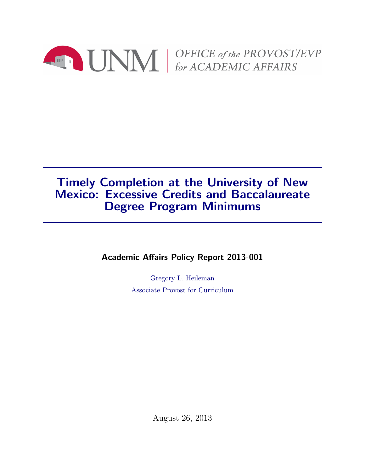

# Timely Completion at the University of New Mexico: Excessive Credits and Baccalaureate Degree Program Minimums

Academic Affairs Policy Report 2013-001

Gregory L. Heileman Associate Provost for Curriculum

August 26, 2013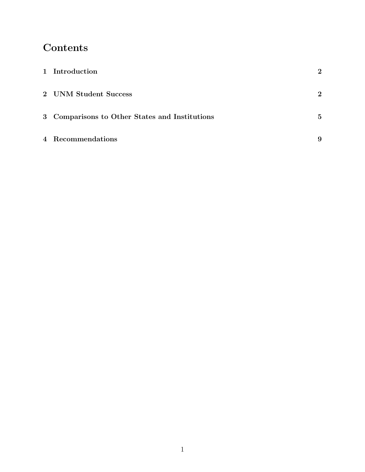# Contents

| 1 Introduction                                 | $\mathbf{2}$   |
|------------------------------------------------|----------------|
| 2 UNM Student Success                          | $\overline{2}$ |
| 3 Comparisons to Other States and Institutions | $\mathbf{5}$   |
| 4 Recommendations                              | 9              |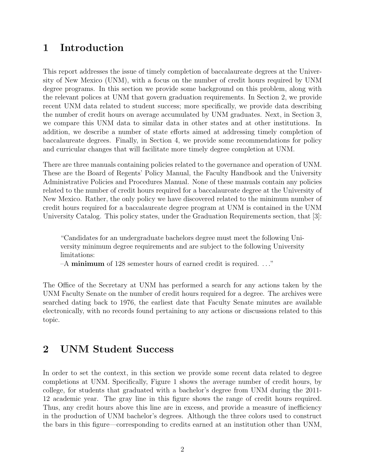# 1 Introduction

This report addresses the issue of timely completion of baccalaureate degrees at the University of New Mexico (UNM), with a focus on the number of credit hours required by UNM degree programs. In this section we provide some background on this problem, along with the relevant polices at UNM that govern graduation requirements. In Section 2, we provide recent UNM data related to student success; more specifically, we provide data describing the number of credit hours on average accumulated by UNM graduates. Next, in Section 3, we compare this UNM data to similar data in other states and at other institutions. In addition, we describe a number of state efforts aimed at addressing timely completion of baccalaureate degrees. Finally, in Section 4, we provide some recommendations for policy and curricular changes that will facilitate more timely degree completion at UNM.

There are three manuals containing policies related to the governance and operation of UNM. These are the Board of Regents' Policy Manual, the Faculty Handbook and the University Administrative Policies and Procedures Manual. None of these manuals contain any policies related to the number of credit hours required for a baccalaureate degree at the University of New Mexico. Rather, the only policy we have discovered related to the minimum number of credit hours required for a baccalaureate degree program at UNM is contained in the UNM University Catalog. This policy states, under the Graduation Requirements section, that [3]:

"Candidates for an undergraduate bachelors degree must meet the following University minimum degree requirements and are subject to the following University limitations:

–A minimum of 128 semester hours of earned credit is required. . . ."

The Office of the Secretary at UNM has performed a search for any actions taken by the UNM Faculty Senate on the number of credit hours required for a degree. The archives were searched dating back to 1976, the earliest date that Faculty Senate minutes are available electronically, with no records found pertaining to any actions or discussions related to this topic.

#### 2 UNM Student Success

In order to set the context, in this section we provide some recent data related to degree completions at UNM. Specifically, Figure 1 shows the average number of credit hours, by college, for students that graduated with a bachelor's degree from UNM during the 2011- 12 academic year. The gray line in this figure shows the range of credit hours required. Thus, any credit hours above this line are in excess, and provide a measure of inefficiency in the production of UNM bachelor's degrees. Although the three colors used to construct the bars in this figure—corresponding to credits earned at an institution other than UNM,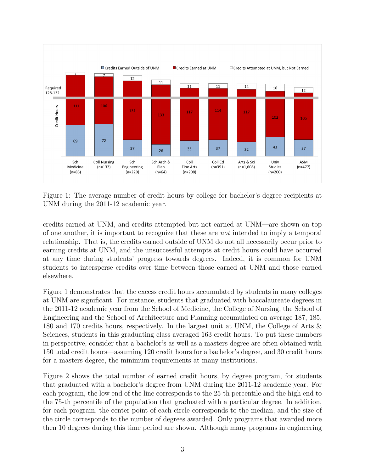

Figure 1: The average number of credit hours by college for bachelor's degree recipients at UNM during the 2011-12 academic year.

credits earned at UNM, and credits attempted but not earned at UNM—are shown on top of one another, it is important to recognize that these are not intended to imply a temporal relationship. That is, the credits earned outside of UNM do not all necessarily occur prior to earning credits at UNM, and the unsuccessful attempts at credit hours could have occurred at any time during students' progress towards degrees. Indeed, it is common for UNM students to intersperse credits over time between those earned at UNM and those earned elsewhere.

Figure 1 demonstrates that the excess credit hours accumulated by students in many colleges at UNM are significant. For instance, students that graduated with baccalaureate degrees in the 2011-12 academic year from the School of Medicine, the College of Nursing, the School of Engineering and the School of Architecture and Planning accumulated on average 187, 185, 180 and 170 credits hours, respectively. In the largest unit at UNM, the College of Arts & Sciences, students in this graduating class averaged 163 credit hours. To put these numbers in perspective, consider that a bachelor's as well as a masters degree are often obtained with 150 total credit hours—assuming 120 credit hours for a bachelor's degree, and 30 credit hours for a masters degree, the minimum requirements at many institutions.

Figure 2 shows the total number of earned credit hours, by degree program, for students that graduated with a bachelor's degree from UNM during the 2011-12 academic year. For each program, the low end of the line corresponds to the 25-th percentile and the high end to the 75-th percentile of the population that graduated with a particular degree. In addition, for each program, the center point of each circle corresponds to the median, and the size of the circle corresponds to the number of degrees awarded. Only programs that awarded more then 10 degrees during this time period are shown. Although many programs in engineering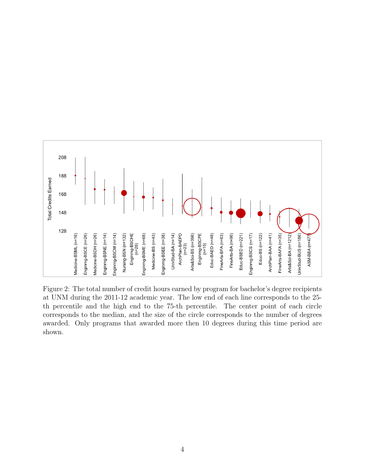

Figure 2: The total number of credit hours earned by program for bachelor's degree recipients at UNM during the 2011-12 academic year. The low end of each line corresponds to the 25 th percentile and the high end to the 75-th percentile. The center point of each circle corresponds to the median, and the size of the circle corresponds to the number of degrees awarded. Only programs that awarded more then 10 degrees during this time period are shown.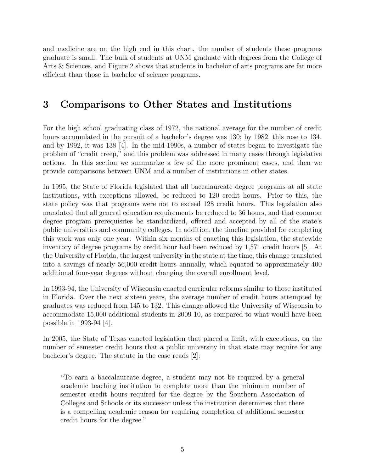and medicine are on the high end in this chart, the number of students these programs graduate is small. The bulk of students at UNM graduate with degrees from the College of Arts & Sciences, and Figure 2 shows that students in bachelor of arts programs are far more efficient than those in bachelor of science programs.

# 3 Comparisons to Other States and Institutions

For the high school graduating class of 1972, the national average for the number of credit hours accumulated in the pursuit of a bachelor's degree was 130; by 1982, this rose to 134, and by 1992, it was 138 [4]. In the mid-1990s, a number of states began to investigate the problem of "credit creep," and this problem was addressed in many cases through legislative actions. In this section we summarize a few of the more prominent cases, and then we provide comparisons between UNM and a number of institutions in other states.

In 1995, the State of Florida legislated that all baccalaureate degree programs at all state institutions, with exceptions allowed, be reduced to 120 credit hours. Prior to this, the state policy was that programs were not to exceed 128 credit hours. This legislation also mandated that all general education requirements be reduced to 36 hours, and that common degree program prerequisites be standardized, offered and accepted by all of the state's public universities and community colleges. In addition, the timeline provided for completing this work was only one year. Within six months of enacting this legislation, the statewide inventory of degree programs by credit hour had been reduced by 1,571 credit hours [5]. At the University of Florida, the largest university in the state at the time, this change translated into a savings of nearly 56,000 credit hours annually, which equated to approximately 400 additional four-year degrees without changing the overall enrollment level.

In 1993-94, the University of Wisconsin enacted curricular reforms similar to those instituted in Florida. Over the next sixteen years, the average number of credit hours attempted by graduates was reduced from 145 to 132. This change allowed the University of Wisconsin to accommodate 15,000 additional students in 2009-10, as compared to what would have been possible in 1993-94 [4].

In 2005, the State of Texas enacted legislation that placed a limit, with exceptions, on the number of semester credit hours that a public university in that state may require for any bachelor's degree. The statute in the case reads [2]:

"To earn a baccalaureate degree, a student may not be required by a general academic teaching institution to complete more than the minimum number of semester credit hours required for the degree by the Southern Association of Colleges and Schools or its successor unless the institution determines that there is a compelling academic reason for requiring completion of additional semester credit hours for the degree."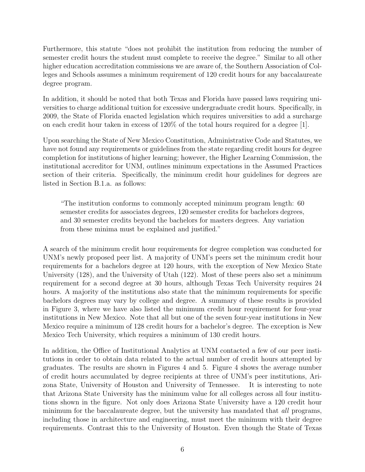Furthermore, this statute "does not prohibit the institution from reducing the number of semester credit hours the student must complete to receive the degree." Similar to all other higher education accreditation commissions we are aware of, the Southern Association of Colleges and Schools assumes a minimum requirement of 120 credit hours for any baccalaureate degree program.

In addition, it should be noted that both Texas and Florida have passed laws requiring universities to charge additional tuition for excessive undergraduate credit hours. Specifically, in 2009, the State of Florida enacted legislation which requires universities to add a surcharge on each credit hour taken in excess of 120% of the total hours required for a degree [1].

Upon searching the State of New Mexico Constitution, Administrative Code and Statutes, we have not found any requirements or guidelines from the state regarding credit hours for degree completion for institutions of higher learning; however, the Higher Learning Commission, the institutional accreditor for UNM, outlines minimum expectations in the Assumed Practices section of their criteria. Specifically, the minimum credit hour guidelines for degrees are listed in Section B.1.a. as follows:

"The institution conforms to commonly accepted minimum program length: 60 semester credits for associates degrees, 120 semester credits for bachelors degrees, and 30 semester credits beyond the bachelors for masters degrees. Any variation from these minima must be explained and justified."

A search of the minimum credit hour requirements for degree completion was conducted for UNM's newly proposed peer list. A majority of UNM's peers set the minimum credit hour requirements for a bachelors degree at 120 hours, with the exception of New Mexico State University (128), and the University of Utah (122). Most of these peers also set a minimum requirement for a second degree at 30 hours, although Texas Tech University requires 24 hours. A majority of the institutions also state that the minimum requirements for specific bachelors degrees may vary by college and degree. A summary of these results is provided in Figure 3, where we have also listed the minimum credit hour requirement for four-year institutions in New Mexico. Note that all but one of the seven four-year institutions in New Mexico require a minimum of 128 credit hours for a bachelor's degree. The exception is New Mexico Tech University, which requires a minimum of 130 credit hours.

In addition, the Office of Institutional Analytics at UNM contacted a few of our peer institutions in order to obtain data related to the actual number of credit hours attempted by graduates. The results are shown in Figures 4 and 5. Figure 4 shows the average number of credit hours accumulated by degree recipients at three of UNM's peer institutions, Arizona State, University of Houston and University of Tennessee. It is interesting to note that Arizona State University has the minimum value for all colleges across all four institutions shown in the figure. Not only does Arizona State University have a 120 credit hour minimum for the baccalaureate degree, but the university has mandated that *all* programs, including those in architecture and engineering, must meet the minimum with their degree requirements. Contrast this to the University of Houston. Even though the State of Texas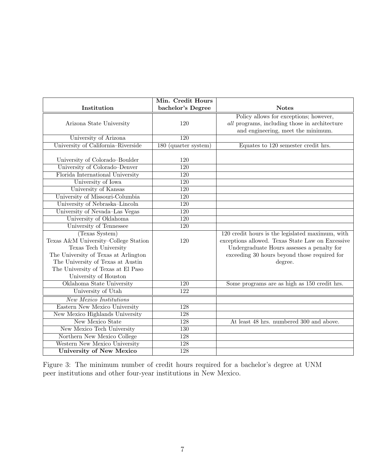|                                      | Min. Credit Hours    |                                                  |
|--------------------------------------|----------------------|--------------------------------------------------|
| Institution                          | bachelor's Degree    | <b>Notes</b>                                     |
|                                      |                      | Policy allows for exceptions; however,           |
| Arizona State University             | 120                  | all programs, including those in architecture    |
|                                      |                      | and engineering, meet the minimum.               |
| University of Arizona                | 120                  |                                                  |
| University of California-Riverside   | 180 (quarter system) | Equates to 120 semester credit hrs.              |
| University of Colorado-Boulder       | 120                  |                                                  |
| University of Colorado-Denver        | $\overline{120}$     |                                                  |
| Florida International University     | 120                  |                                                  |
| University of Iowa                   | 120                  |                                                  |
| University of Kansas                 | $\overline{120}$     |                                                  |
| University of Missouri-Columbia      | $\overline{120}$     |                                                  |
| University of Nebraska-Lincoln       | $\overline{120}$     |                                                  |
| University of Nevada-Las Vegas       | $\overline{120}$     |                                                  |
| University of Oklahoma               | $\overline{120}$     |                                                  |
| University of Tennessee              | 120                  |                                                  |
| (Texas System)                       |                      | 120 credit hours is the legislated maximum, with |
| Texas A&M University-College Station | 120                  | exceptions allowed. Texas State Law on Excessive |
| Texas Tech University                |                      | Undergraduate Hours assesses a penalty for       |
| The University of Texas at Arlington |                      | exceeding 30 hours beyond those required for     |
| The University of Texas at Austin    |                      | degree.                                          |
| The University of Texas at El Paso   |                      |                                                  |
| University of Houston                |                      |                                                  |
| Oklahoma State University            | 120                  | Some programs are as high as 150 credit hrs.     |
| University of Utah                   | $\overline{122}$     |                                                  |
| <b>New Mexico Institutions</b>       |                      |                                                  |
| Eastern New Mexico University        | 128                  |                                                  |
| New Mexico Highlands University      | 128                  |                                                  |
| New Mexico State                     | $\overline{128}$     | At least 48 hrs. numbered 300 and above.         |
| New Mexico Tech University           | $\overline{130}$     |                                                  |
| Northern New Mexico College          | 128                  |                                                  |
| Western New Mexico University        | 128                  |                                                  |
| <b>University of New Mexico</b>      | 128                  |                                                  |

Figure 3: The minimum number of credit hours required for a bachelor's degree at UNM peer institutions and other four-year institutions in New Mexico.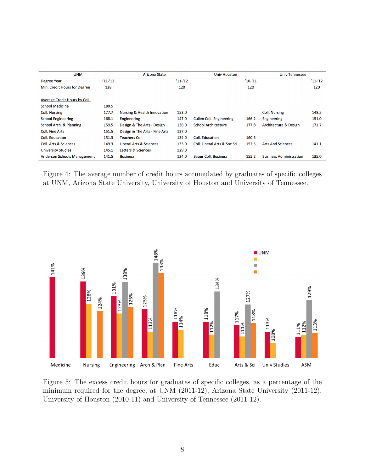| <b>UNM</b>                         |            | Arizona State                 |            | <b>Univ Houston</b>             |          | <b>Univ Tennessee</b>            |             |
|------------------------------------|------------|-------------------------------|------------|---------------------------------|----------|----------------------------------|-------------|
| <b>Degree Year</b>                 | $'11 - 12$ |                               | $'11 - 12$ |                                 | $'10-11$ |                                  | $'11 - '12$ |
| Min. Credit Hours for Degree       | 128        |                               | 120        |                                 | 120      |                                  | 120         |
| Average Credit Hours by Coll.      |            |                               |            |                                 |          |                                  |             |
| <b>School Medicine</b>             | 180.5      |                               |            |                                 |          |                                  |             |
| <b>Coll. Nursing</b>               | 177.7      | Nursing & Health Innovation   | 153.0      |                                 |          | <b>Coll. Nursing</b>             | 148.5       |
| <b>School Engineering</b>          | 168.1      | Engineering                   | 147.0      | <b>Cullen Coll. Engineering</b> | 166.2    | Engineering                      | 151.0       |
| School Arch. & Planning            | 159.5      | Design & The Arts - Design    | 136.0      | <b>School Architecture</b>      | 177.8    | <b>Architecture &amp; Design</b> | 171.7       |
| <b>Coll. Fine Arts</b>             | 151.5      | Design & The Arts - Fine Arts | 137.0      |                                 |          |                                  |             |
| Coll. Education                    | 151.3      | <b>Teachers Coll.</b>         | 134.0      | Coll. Education                 | 160.5    |                                  |             |
| <b>Coll. Arts &amp; Sciences</b>   | 149.3      | Liberal Arts & Sciences       | 133.0      | Coll. Liberal Arts & Soc Sci    | 152.5    | <b>Arts And Sciences</b>         | 141.1       |
| <b>University Studies</b>          | 145.1      | Letters & Sciences            | 129.0      |                                 |          |                                  |             |
| <b>Anderson Schools Management</b> | 141.5      | <b>Business</b>               | 134.0      | <b>Bauer Coll. Business</b>     | 155.2    | <b>Business Administration</b>   | 135.0       |

Figure 4: The average number of credit hours accumulated by graduates of specific colleges at UNM, Arizona State University, University of Houston and University of Tennessee.



Figure 5: The excess credit hours for graduates of specific colleges, as a percentage of the minimum required for the degree, at UNM (2011-12), Arizona State University (2011-12), University of Houston (2010-11) and University of Tennessee (2011-12).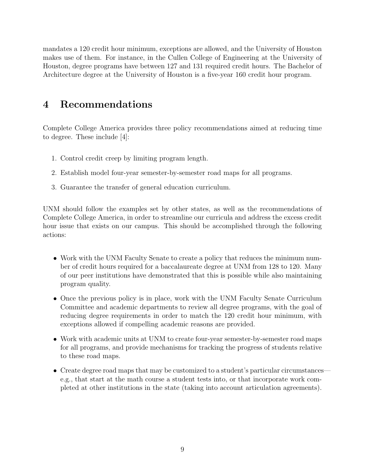mandates a 120 credit hour minimum, exceptions are allowed, and the University of Houston makes use of them. For instance, in the Cullen College of Engineering at the University of Houston, degree programs have between 127 and 131 required credit hours. The Bachelor of Architecture degree at the University of Houston is a five-year 160 credit hour program.

# 4 Recommendations

Complete College America provides three policy recommendations aimed at reducing time to degree. These include [4]:

- 1. Control credit creep by limiting program length.
- 2. Establish model four-year semester-by-semester road maps for all programs.
- 3. Guarantee the transfer of general education curriculum.

UNM should follow the examples set by other states, as well as the recommendations of Complete College America, in order to streamline our curricula and address the excess credit hour issue that exists on our campus. This should be accomplished through the following actions:

- Work with the UNM Faculty Senate to create a policy that reduces the minimum number of credit hours required for a baccalaureate degree at UNM from 128 to 120. Many of our peer institutions have demonstrated that this is possible while also maintaining program quality.
- Once the previous policy is in place, work with the UNM Faculty Senate Curriculum Committee and academic departments to review all degree programs, with the goal of reducing degree requirements in order to match the 120 credit hour minimum, with exceptions allowed if compelling academic reasons are provided.
- Work with academic units at UNM to create four-year semester-by-semester road maps for all programs, and provide mechanisms for tracking the progress of students relative to these road maps.
- Create degree road maps that may be customized to a student's particular circumstances e.g., that start at the math course a student tests into, or that incorporate work completed at other institutions in the state (taking into account articulation agreements).